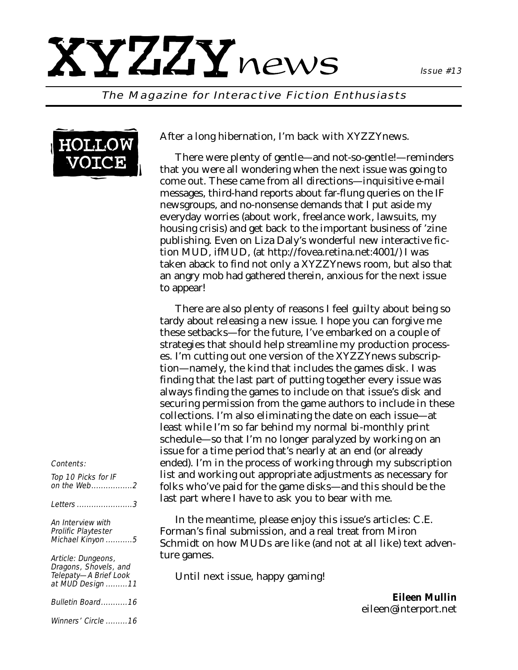## XYZZYnews

#### The Magazine for Interactive Fiction Enthusiasts



After a long hibernation, I'm back with *XYZZYnews*.

There were plenty of gentle—and not-so-gentle!—reminders that you were all wondering when the next issue was going to come out. These came from all directions—inquisitive e-mail messages, third-hand reports about far-flung queries on the IF newsgroups, and no-nonsense demands that I put aside my everyday worries (about work, freelance work, lawsuits, my housing crisis) and get back to the important business of 'zine publishing. Even on Liza Daly's wonderful new interactive fiction MUD, ifMUD, (at http://fovea.retina.net:4001/) I was taken aback to find not only a *XYZZYnews* room, but also that an angry mob had gathered therein, anxious for the next issue to appear!

There are also plenty of reasons I feel guilty about being so tardy about releasing a new issue. I hope you can forgive me these setbacks—for the future, I've embarked on a couple of strategies that should help streamline my production processes. I'm cutting out one version of the *XYZZYnews* subscription—namely, the kind that includes the games disk. I was finding that the last part of putting together every issue was always finding the games to include on that issue's disk and securing permission from the game authors to include in these collections. I'm also eliminating the date on each issue—at least while I'm so far behind my normal bi-monthly print schedule—so that I'm no longer paralyzed by working on an issue for a time period that's nearly at an end (or already ended). I'm in the process of working through my subscription list and working out appropriate adjustments as necessary for folks who've paid for the game disks—and this should be the last part where I have to ask you to bear with me.

In the meantime, please enjoy this issue's articles: C.E. Forman's final submission, and a real treat from Miron Schmidt on how MUDs are like (and not at all like) text adventure games.

Until next issue, happy gaming!

*Eileen Mullin eileen@interport.net*

#### Contents:

Top 10 Picks for IF on the Web.................2 Letters .......................3 An Interview with Prolific Playtester Michael Kinyon ...........5 Article: Dungeons, Dragons, Shovels, and Telepaty—A Brief Look

at MUD Design .........11 Bulletin Board...........16

Winners' Circle .........16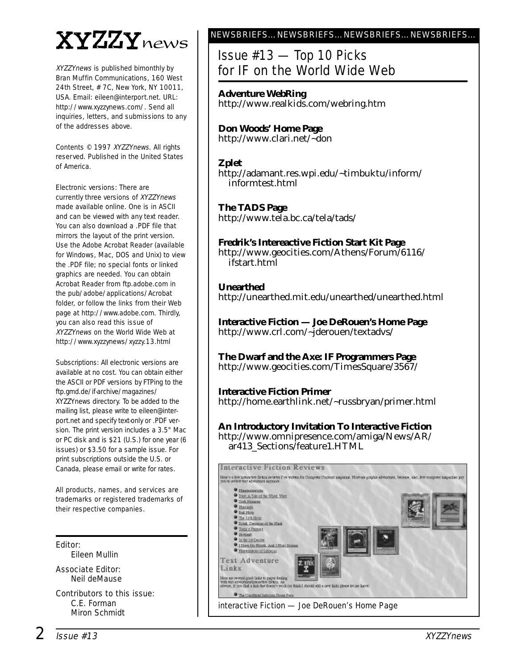## XYZZYnews

XYZZYnews is published bimonthly by Bran Muffin Communications, 160 West 24th Street, # 7C, New York, NY 10011, USA. Email: eileen@interport.net. URL: http://www.xyzzynews.com/. Send all inquiries, letters, and submissions to any of the addresses above.

Contents © 1997 XYZZYnews. All rights reserved. Published in the United States of America.

Electronic versions: There are currently three versions of XYZZYnews made available online. One is in ASCII and can be viewed with any text reader. You can also download a .PDF file that mirrors the layout of the print version. Use the Adobe Acrobat Reader (available for Windows, Mac, DOS and Unix) to view the .PDF file; no special fonts or linked graphics are needed. You can obtain Acrobat Reader from ftp.adobe.com in the pub/adobe/applications/Acrobat folder, or follow the links from their Web page at http://www.adobe.com. Thirdly, you can also read this issue of XYZZYnews on the World Wide Web at http://www.xyzzynews/xyzzy.13.html

Subscriptions: All electronic versions are available at no cost. You can obtain either the ASCII or PDF versions by FTPing to the ftp.gmd.de/if-archive/magazines/ XYZZYnews directory. To be added to the mailing list, please write to eileen@interport.net and specify text-only or .PDF version. The print version includes a 3.5" Mac or PC disk and is \$21 (U.S.) for one year (6 issues) or \$3.50 for a sample issue. For print subscriptions outside the U.S. or Canada, please email or write for rates.

All products, names, and ser vices are trademarks or registered trademarks of their respective companies.

#### Editor:

Eileen Mullin

Associate Editor: Neil deMause

Contributors to this issue: C.E. Forman Miron Schmidt

#### NEWSBRIEFS…NEWSBRIEFS…NEWSBRIEFS…NEWSBRIEFS…

### Issue #13 — Top 10 Picks for IF on the World Wide Web

**Adventure WebRing** http://www.realkids.com/webring.htm

**Don Woods' Home Page** http://www.clari.net/~don

#### **Zplet**

http://adamant.res.wpi.edu/~timbuktu/inform/ informtest.html

**The TADS Page** http://www.tela.bc.ca/tela/tads/

**Fredrik's Intereactive Fiction Start Kit Page** http://www.geocities.com/Athens/Forum/6116/ ifstart.html

**Unearthed** http://unearthed.mit.edu/unearthed/unearthed.html

**Interactive Fiction — Joe DeRouen's Home Page** http://www.crl.com/~jderouen/textadvs/

**The Dwarf and the Axe: IF Programmers Page** http://www.geocities.com/TimesSquare/3567/

**Interactive Fiction Primer** http://home.earthlink.net/~russbryan/primer.html

**An Introductory Invitation To Interactive Fiction** http://www.omnipresence.com/amiga/News/AR/ ar413\_Sections/feature1.HTML

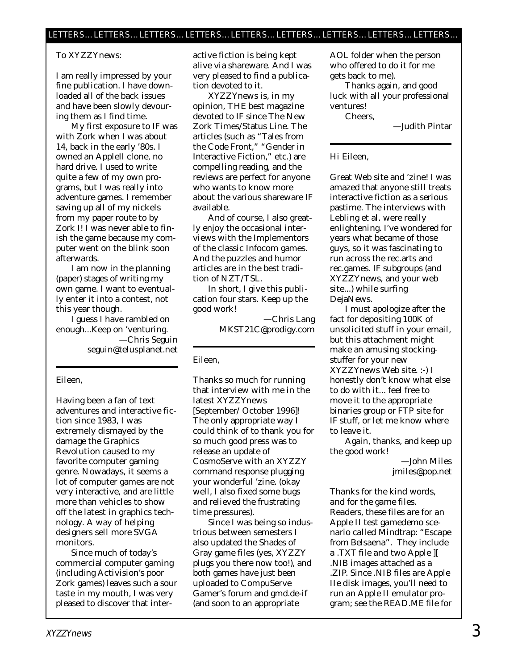#### To XYZZYnews:

I am really impressed by your fine publication. I have downloaded all of the back issues and have been slowly devouring them as I find time.

My first exposure to IF was with Zork when I was about 14, back in the early '80s. I owned an AppleII clone, no hard drive. I used to write quite a few of my own programs, but I was really into adventure games. I remember saving up all of my nickels from my paper route to by Zork I! I was never able to finish the game because my computer went on the blink soon afterwards.

I am now in the planning (paper) stages of writing my own game. I want to eventually enter it into a contest, not this year though.

I guess I have rambled on enough...Keep on 'venturing. —Chris Seguin seguin@telusplanet.net

#### Eileen,

Having been a fan of text adventures and interactive fiction since 1983, I was extremely dismayed by the damage the Graphics Revolution caused to my favorite computer gaming genre. Nowadays, it seems a lot of computer games are not very interactive, and are little more than vehicles to show off the latest in graphics technology. A way of helping designers sell more SVGA monitors.

Since much of today's commercial computer gaming (including Activision's poor Zork games) leaves such a sour taste in my mouth, I was very pleased to discover that interactive fiction is being kept alive via shareware. And I was very pleased to find a publication devoted to it.

*XYZZYnews* is, in my opinion, THE best magazine devoted to IF since The New Zork Times/Status Line. The articles (such as "Tales from the Code Front," "Gender in Interactive Fiction," etc.) are compelling reading, and the reviews are perfect for anyone who wants to know more about the various shareware IF available.

And of course, I also greatly enjoy the occasional interviews with the Implementors of the classic Infocom games. And the puzzles and humor articles are in the best tradition of NZT/TSL.

In short, I give this publication four stars. Keep up the good work!

> —Chris Lang MKST21C@prodigy.com

#### Eileen,

Thanks so much for running that interview with me in the latest *XYZZYnews* [September/ October 1996]! The only appropriate way I could think of to thank you for so much good press was to release an update of CosmoServe with an XYZZY command response plugging your wonderful 'zine. (okay well, I also fixed some bugs and relieved the frustrating time pressures).

Since I was being so industrious between semesters I also updated the Shades of Gray game files (yes, XYZZY plugs you there now too!), and both games have just been uploaded to CompuServe Gamer's forum and gmd.de-if (and soon to an appropriate

AOL folder when the person who offered to do it for me gets back to me).

Thanks again, and good luck with all your professional ventures!

Cheers,

—Judith Pintar

Hi Eileen,

Great Web site and 'zine! I was amazed that anyone still treats interactive fiction as a serious pastime. The interviews with Lebling et al. were really enlightening. I've wondered for years what became of those guys, so it was fascinating to run across the rec.arts and rec.games. IF subgroups (and XYZZYnews, and your web site...) while surfing DejaNews.

I must apologize after the fact for depositing 100K of unsolicited stuff in your email, but this attachment might make an amusing stockingstuffer for your new *XYZZYnews* Web site. :-) I honestly don't know what else to do with it... feel free to move it to the appropriate binaries group or FTP site for IF stuff, or let me know where to leave it.

Again, thanks, and keep up the good work!

> —John Miles jmiles@pop.net

*Thanks for the kind words, and for the game files. Readers, these files are for an Apple II test gamedemo scenario called Mindtrap: "Escape from Belsaena". They include a .TXT file and two Apple ][ .NIB images attached as a .ZIP. Since .NIB files are Apple IIe disk images, you'll need to run an Apple II emulator program; see the READ.ME file for*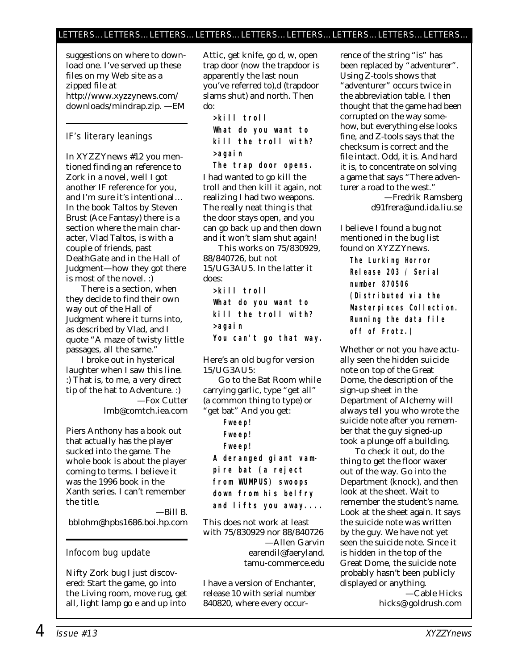*suggestions on where to download one. I've served up these files on my Web site as a zipped file at http://www.xyzzynews.com/ downloads/mindrap.zip. —EM*

#### IF's literary leanings

In XYZZYnews #12 you mentioned finding an reference to Zork in a novel, well I got another IF reference for you, and I'm sure it's intentional… In the book *Taltos* by Steven Brust (Ace Fantasy) there is a section where the main character, Vlad Taltos, is with a couple of friends, past DeathGate and in the Hall of Judgment—how they got there is most of the novel. :)

There is a section, when they decide to find their own way out of the Hall of Judgment where it turns into, as described by Vlad, and I quote "A maze of twisty little passages, all the same."

I broke out in hysterical laughter when I saw this line. :) That is, to me, a very direct tip of the hat to Adventure. :) —Fox Cutter lmb@comtch.iea.com

Piers Anthony has a book out that actually has the player sucked into the game. The whole book is about the player coming to terms. I believe it was the 1996 book in the Xanth series. I can't remember the title.

—Bill B. bblohm@hpbs1686.boi.hp.com

#### Infocom bug update

Nifty Zork bug I just discovered: Start the game, go into the Living room, move rug, get all, light lamp go e and up into

Attic, get knife, go d, w, open trap door (now the trapdoor is apparently the last noun you've referred to),d (trapdoor slams shut) and north. Then do:

**>kill troll What do you want to kill the troll with? >again**

**The trap door opens.** I had wanted to go kill the troll and then kill it again, not realizing I had two weapons. The really neat thing is that the door stays open, and you can go back up and then down and it won't slam shut again!

This works on 75/830929, 88/840726, but not 15/UG3AU5. In the latter it does:

**>kill troll What do you want to kill the troll with? >again You can't go that way.**

Here's an old bug for version 15/UG3AU5:

Go to the Bat Room while carrying garlic, type "get all" (a common thing to type) or "get bat" And you get:

> **Fweep! Fweep! Fweep!**

**A deranged giant vampire bat (a reject from WUMPUS) swoops down from his belfry and lifts you away....**

This does not work at least with 75/830929 nor 88/840726 —Allen Garvin earendil@faeryland. tamu-commerce.edu

I have a version of Enchanter, release 10 with serial number 840820, where every occurrence of the string "is" has been replaced by "adventurer". Using Z-tools shows that "adventurer" occurs twice in the abbreviation table. I then thought that the game had been corrupted on the way somehow, but everything else looks fine, and Z-tools says that the checksum is correct and the file intact. Odd, it is. And hard it is, to concentrate on solving a game that says "There adventurer a road to the west." —Fredrik Ramsberg

d91frera@und.ida.liu.se

#### I believe I found a bug not mentioned in the bug list found on *XYZZYnews.*

**The Lurking Horror Release 203 / Serial number 870506 (Distributed via the Masterpieces Collection. Running the data file off of Frotz.)**

Whether or not you have actually seen the hidden suicide note on top of the Great Dome, the description of the sign-up sheet in the Department of Alchemy will always tell you who wrote the suicide note after you remember that the guy signed-up took a plunge off a building.

To check it out, do the thing to get the floor waxer out of the way. Go into the Department (knock), and then look at the sheet. Wait to remember the student's name. Look at the sheet again. It says the suicide note was written by the guy. We have not yet seen the suicide note. Since it is hidden in the top of the Great Dome, the suicide note probably hasn't been publicly displayed or anything.

—Cable Hicks hicks@ goldrush.com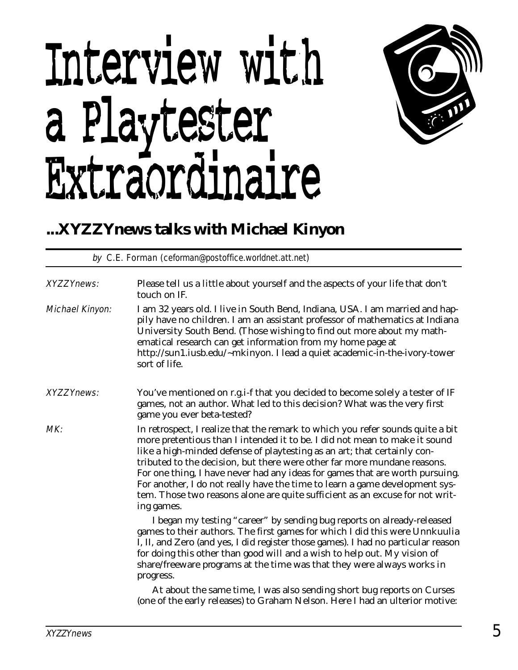# Interview with a Playtester Extraordinaire



## **...XYZZYnews talks with Michael Kinyon**

by C.E. Forman (ceforman@postoffice.worldnet.att.net)

| <b>XYZZYnews:</b>      | Please tell us a little about yourself and the aspects of your life that don't                                                                                                                                                                                                                                                                                                                                                                                                                                                                                                    |
|------------------------|-----------------------------------------------------------------------------------------------------------------------------------------------------------------------------------------------------------------------------------------------------------------------------------------------------------------------------------------------------------------------------------------------------------------------------------------------------------------------------------------------------------------------------------------------------------------------------------|
|                        | touch on IF.                                                                                                                                                                                                                                                                                                                                                                                                                                                                                                                                                                      |
| <b>Michael Kinyon:</b> | I am 32 years old. I live in South Bend, Indiana, USA. I am married and hap-<br>pily have no children. I am an assistant professor of mathematics at Indiana<br>University South Bend. (Those wishing to find out more about my math-<br>ematical research can get information from my home page at<br>http://sun1.iusb.edu/~mkinyon. I lead a quiet academic-in-the-ivory-tower<br>sort of life.                                                                                                                                                                                 |
| <b>XYZZYnews:</b>      | You've mentioned on r.g.i-f that you decided to become solely a tester of IF<br>games, not an author. What led to this decision? What was the very first<br>game you ever beta-tested?                                                                                                                                                                                                                                                                                                                                                                                            |
| MK:                    | In retrospect, I realize that the remark to which you refer sounds quite a bit<br>more pretentious than I intended it to be. I did not mean to make it sound<br>like a high-minded defense of playtesting as an art; that certainly con-<br>tributed to the decision, but there were other far more mundane reasons.<br>For one thing, I have never had any ideas for games that are worth pursuing.<br>For another, I do not really have the time to learn a game development sys-<br>tem. Those two reasons alone are quite sufficient as an excuse for not writ-<br>ing games. |
|                        | I began my testing "career" by sending bug reports on already-released<br>games to their authors. The first games for which I did this were Unnkuulia<br>I, II, and Zero (and yes, I did register those games). I had no particular reason<br>for doing this other than good will and a wish to help out. My vision of<br>share/freeware programs at the time was that they were always works in<br>progress.                                                                                                                                                                     |
|                        | At about the same time, I was also sending short bug reports on Curses<br>(one of the early releases) to Graham Nelson. Here I had an ulterior motive:                                                                                                                                                                                                                                                                                                                                                                                                                            |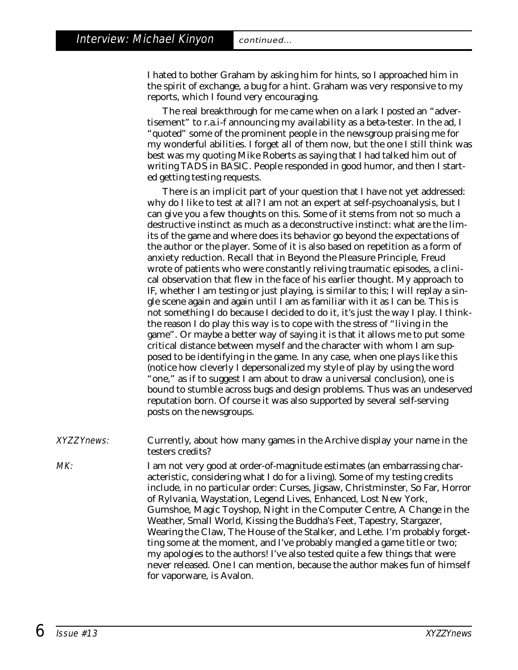I hated to bother Graham by asking him for hints, so I approached him in the spirit of exchange, a bug for a hint. Graham was very responsive to my reports, which I found very encouraging.

The real breakthrough for me came when on a lark I posted an "advertisement" to r.a.i-f announcing my availability as a beta-tester. In the ad, I "quoted" some of the prominent people in the newsgroup praising me for my wonderful abilities. I forget all of them now, but the one I still think was best was my quoting Mike Roberts as saying that I had talked him out of writing TADS in BASIC. People responded in good humor, and then I started getting testing requests.

There is an implicit part of your question that I have not yet addressed: why do I like to test at all? I am not an expert at self-psychoanalysis, but I can give you a few thoughts on this. Some of it stems from not so much a destructive instinct as much as a deconstructive instinct: what are the limits of the game and where does its behavior go beyond the expectations of the author or the player. Some of it is also based on repetition as a form of anxiety reduction. Recall that in *Beyond the Pleasure Principle*, Freud wrote of patients who were constantly reliving traumatic episodes, a clinical observation that flew in the face of his earlier thought. My approach to IF, whether I am testing or just playing, is similar to this; I will replay a single scene again and again until I am as familiar with it as I can be. This is not something I do because I decided to do it, it's just the way I play. I thinkthe reason I do play this way is to cope with the stress of "living in the game". Or maybe a better way of saying it is that it allows me to put some critical distance between myself and the character with whom I am supposed to be identifying in the game. In any case, when one plays like this (notice how cleverly I depersonalized my style of play by using the word "one," as if to suggest I am about to draw a universal conclusion), one is bound to stumble across bugs and design problems. Thus was an undeserved reputation born. Of course it was also supported by several self-serving posts on the newsgroups.

XYZZYnews: Currently, about how many games in the Archive display your name in the testers credits?

MK: I am not very good at order-of-magnitude estimates (an embarrassing characteristic, considering what I do for a living). Some of my testing credits include, in no particular order: Curses, Jigsaw, Christminster, So Far, Horror of Rylvania, Waystation, Legend Lives, Enhanced, Lost New York, Gumshoe, Magic Toyshop, Night in the Computer Centre, A Change in the Weather, Small World, Kissing the Buddha's Feet, Tapestry, Stargazer, Wearing the Claw, The House of the Stalker, and Lethe. I'm probably forgetting some at the moment, and I've probably mangled a game title or two; my apologies to the authors! I've also tested quite a few things that were never released. One I can mention, because the author makes fun of himself for vaporware, is Avalon.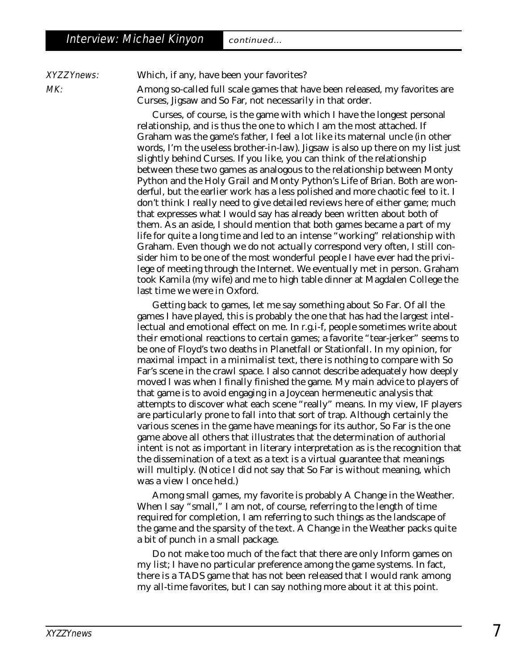XYZZYnews: Which, if any, have been your favorites?

MK: Among so-called full scale games that have been released, my favorites are Curses, Jigsaw and So Far, not necessarily in that order.

> Curses, of course, is the game with which I have the longest personal relationship, and is thus the one to which I am the most attached. If Graham was the game's father, I feel a lot like its maternal uncle (in other words, I'm the useless brother-in-law). Jigsaw is also up there on my list just slightly behind Curses. If you like, you can think of the relationship between these two games as analogous to the relationship between Monty Python and the Holy Grail and Monty Python's Life of Brian. Both are wonderful, but the earlier work has a less polished and more chaotic feel to it. I don't think I really need to give detailed reviews here of either game; much that expresses what I would say has already been written about both of them. As an aside, I should mention that both games became a part of my life for quite a long time and led to an intense "working" relationship with Graham. Even though we do not actually correspond very often, I still consider him to be one of the most wonderful people I have ever had the privilege of meeting through the Internet. We eventually met in person. Graham took Kamila (my wife) and me to high table dinner at Magdalen College the last time we were in Oxford.

> Getting back to games, let me say something about So Far. Of all the games I have played, this is probably the one that has had the largest intellectual and emotional effect on me. In r.g.i-f, people sometimes write about their emotional reactions to certain games; a favorite "tear-jerker" seems to be one of Floyd's two deaths in Planetfall or Stationfall. In my opinion, for maximal impact in a minimalist text, there is nothing to compare with So Far's scene in the crawl space. I also cannot describe adequately how deeply moved I was when I finally finished the game. My main advice to players of that game is to avoid engaging in a Joycean hermeneutic analysis that attempts to discover what each scene "really" means. In my view, IF players are particularly prone to fall into that sort of trap. Although certainly the various scenes in the game have meanings for its author, So Far is the one game above all others that illustrates that the determination of authorial intent is not as important in literary interpretation as is the recognition that the dissemination of a text as a text is a virtual guarantee that meanings will multiply. (Notice I did not say that So Far is without meaning, which was a view I once held.)

Among small games, my favorite is probably A Change in the Weather. When I say "small," I am not, of course, referring to the length of time required for completion, I am referring to such things as the landscape of the game and the sparsity of the text. A Change in the Weather packs quite a bit of punch in a small package.

Do not make too much of the fact that there are only Inform games on my list; I have no particular preference among the game systems. In fact, there is a TADS game that has not been released that I would rank among my all-time favorites, but I can say nothing more about it at this point.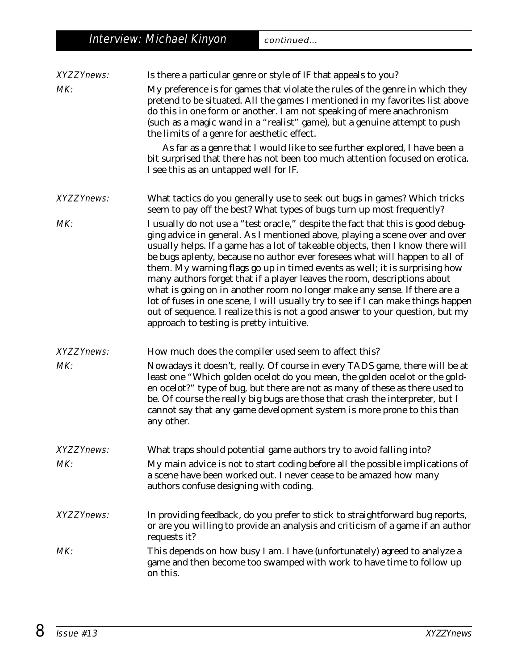| <b>XYZZYnews:</b> | Is there a particular genre or style of IF that appeals to you?                                                                                                                                                                                                                                                                                                                                                                                                                                                                                                                                                                                                                                                                                                                         |
|-------------------|-----------------------------------------------------------------------------------------------------------------------------------------------------------------------------------------------------------------------------------------------------------------------------------------------------------------------------------------------------------------------------------------------------------------------------------------------------------------------------------------------------------------------------------------------------------------------------------------------------------------------------------------------------------------------------------------------------------------------------------------------------------------------------------------|
| MK:               | My preference is for games that violate the rules of the genre in which they<br>pretend to be situated. All the games I mentioned in my favorites list above<br>do this in one form or another. I am not speaking of mere anachronism<br>(such as a magic wand in a "realist" game), but a genuine attempt to push<br>the limits of a genre for aesthetic effect.                                                                                                                                                                                                                                                                                                                                                                                                                       |
|                   | As far as a genre that I would like to see further explored, I have been a<br>bit surprised that there has not been too much attention focused on erotica.<br>I see this as an untapped well for IF.                                                                                                                                                                                                                                                                                                                                                                                                                                                                                                                                                                                    |
| <b>XYZZYnews:</b> | What tactics do you generally use to seek out bugs in games? Which tricks<br>seem to pay off the best? What types of bugs turn up most frequently?                                                                                                                                                                                                                                                                                                                                                                                                                                                                                                                                                                                                                                      |
| MK:               | I usually do not use a "test oracle," despite the fact that this is good debug-<br>ging advice in general. As I mentioned above, playing a scene over and over<br>usually helps. If a game has a lot of takeable objects, then I know there will<br>be bugs aplenty, because no author ever foresees what will happen to all of<br>them. My warning flags go up in timed events as well; it is surprising how<br>many authors forget that if a player leaves the room, descriptions about<br>what is going on in another room no longer make any sense. If there are a<br>lot of fuses in one scene, I will usually try to see if I can make things happen<br>out of sequence. I realize this is not a good answer to your question, but my<br>approach to testing is pretty intuitive. |
| <b>XYZZYnews:</b> | How much does the compiler used seem to affect this?                                                                                                                                                                                                                                                                                                                                                                                                                                                                                                                                                                                                                                                                                                                                    |
| MK:               | Nowadays it doesn't, really. Of course in every TADS game, there will be at<br>least one "Which golden ocelot do you mean, the golden ocelot or the gold-<br>en ocelot?" type of bug, but there are not as many of these as there used to<br>be. Of course the really big bugs are those that crash the interpreter, but I<br>cannot say that any game development system is more prone to this than<br>any other.                                                                                                                                                                                                                                                                                                                                                                      |
| <b>XYZZYnews:</b> | What traps should potential game authors try to avoid falling into?                                                                                                                                                                                                                                                                                                                                                                                                                                                                                                                                                                                                                                                                                                                     |
| MK:               | My main advice is not to start coding before all the possible implications of<br>a scene have been worked out. I never cease to be amazed how many<br>authors confuse designing with coding.                                                                                                                                                                                                                                                                                                                                                                                                                                                                                                                                                                                            |
| <b>XYZZYnews:</b> | In providing feedback, do you prefer to stick to straightforward bug reports,<br>or are you willing to provide an analysis and criticism of a game if an author<br>requests it?                                                                                                                                                                                                                                                                                                                                                                                                                                                                                                                                                                                                         |
| MK:               | This depends on how busy I am. I have (unfortunately) agreed to analyze a<br>game and then become too swamped with work to have time to follow up<br>on this.                                                                                                                                                                                                                                                                                                                                                                                                                                                                                                                                                                                                                           |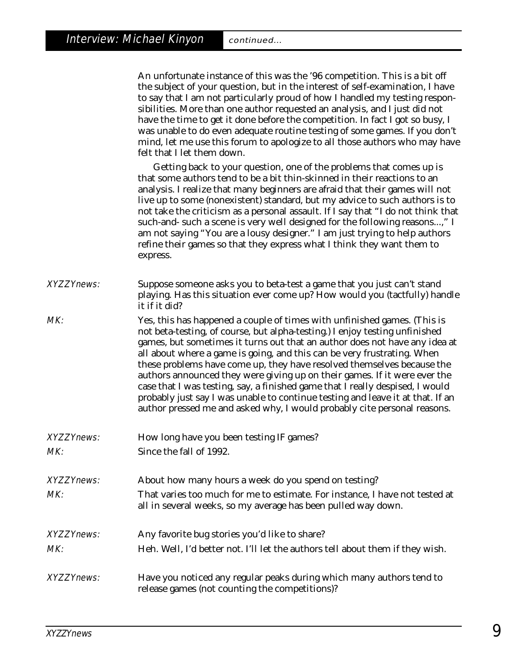| An unfortunate instance of this was the '96 competition. This is a bit off    |
|-------------------------------------------------------------------------------|
| the subject of your question, but in the interest of self-examination, I have |
| to say that I am not particularly proud of how I handled my testing respon-   |
| sibilities. More than one author requested an analysis, and I just did not    |
| have the time to get it done before the competition. In fact I got so busy, I |
| was unable to do even adequate routine testing of some games. If you don't    |
| mind, let me use this forum to apologize to all those authors who may have    |
| felt that I let them down.                                                    |
|                                                                               |

Getting back to your question, one of the problems that comes up is that some authors tend to be a bit thin-skinned in their reactions to an analysis. I realize that many beginners are afraid that their games will not live up to some (nonexistent) standard, but my advice to such authors is to not take the criticism as a personal assault. If I say that "I do not think that such-and- such a scene is very well designed for the following reasons...," I am not saying "You are a lousy designer." I am just trying to help authors refine their games so that they express what I think they want them to express.

XYZZYnews: Suppose someone asks you to beta-test a game that you just can't stand playing. Has this situation ever come up? How would you (tactfully) handle it if it did?

MK: Yes, this has happened a couple of times with unfinished games. (This is not beta-testing, of course, but alpha-testing.) I enjoy testing unfinished games, but sometimes it turns out that an author does not have any idea at all about where a game is going, and this can be very frustrating. When these problems have come up, they have resolved themselves because the authors announced they were giving up on their games. If it were ever the case that I was testing, say, a finished game that I really despised, I would probably just say I was unable to continue testing and leave it at that. If an author pressed me and asked why, I would probably cite personal reasons.

- XYZZYnews: How long have you been testing IF games?
- MK: Since the fall of 1992.
- XYZZYnews: About how many hours a week do you spend on testing?
- MK: That varies too much for me to estimate. For instance, I have not tested at all in several weeks, so my average has been pulled way down.
- XYZZYnews: Any favorite bug stories you'd like to share?
- MK: Heh. Well, I'd better not. I'll let the authors tell about them if they wish.
- XYZZYnews: Have you noticed any regular peaks during which many authors tend to release games (not counting the competitions)?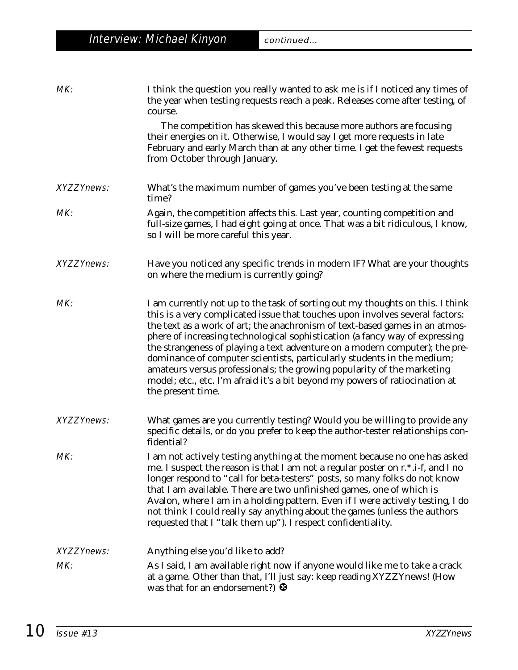| MK:               | I think the question you really wanted to ask me is if I noticed any times of<br>the year when testing requests reach a peak. Releases come after testing, of<br>course.<br>The competition has skewed this because more authors are focusing<br>their energies on it. Otherwise, I would say I get more requests in late<br>February and early March than at any other time. I get the fewest requests<br>from October through January.                                                                                                                                                                                                                            |
|-------------------|---------------------------------------------------------------------------------------------------------------------------------------------------------------------------------------------------------------------------------------------------------------------------------------------------------------------------------------------------------------------------------------------------------------------------------------------------------------------------------------------------------------------------------------------------------------------------------------------------------------------------------------------------------------------|
| <b>XYZZYnews:</b> | What's the maximum number of games you've been testing at the same<br>time?                                                                                                                                                                                                                                                                                                                                                                                                                                                                                                                                                                                         |
| MK:               | Again, the competition affects this. Last year, counting competition and<br>full-size games, I had eight going at once. That was a bit ridiculous, I know,<br>so I will be more careful this year.                                                                                                                                                                                                                                                                                                                                                                                                                                                                  |
| <b>XYZZYnews:</b> | Have you noticed any specific trends in modern IF? What are your thoughts<br>on where the medium is currently going?                                                                                                                                                                                                                                                                                                                                                                                                                                                                                                                                                |
| MK:               | I am currently not up to the task of sorting out my thoughts on this. I think<br>this is a very complicated issue that touches upon involves several factors:<br>the text as a work of art; the anachronism of text-based games in an atmos-<br>phere of increasing technological sophistication (a fancy way of expressing<br>the strangeness of playing a text adventure on a modern computer); the pre-<br>dominance of computer scientists, particularly students in the medium;<br>amateurs versus professionals; the growing popularity of the marketing<br>model; etc., etc. I'm afraid it's a bit beyond my powers of ratiocination at<br>the present time. |
| <b>XYZZYnews:</b> | What games are you currently testing? Would you be willing to provide any<br>specific details, or do you prefer to keep the author-tester relationships con-<br>fidential?                                                                                                                                                                                                                                                                                                                                                                                                                                                                                          |
| MK:               | I am not actively testing anything at the moment because no one has asked<br>me. I suspect the reason is that I am not a regular poster on r.*.i-f, and I no<br>longer respond to "call for beta-testers" posts, so many folks do not know<br>that I am available. There are two unfinished games, one of which is<br>Avalon, where I am in a holding pattern. Even if I were actively testing, I do<br>not think I could really say anything about the games (unless the authors<br>requested that I "talk them up"). I respect confidentiality.                                                                                                                   |
| <b>XYZZYnews:</b> | Anything else you'd like to add?                                                                                                                                                                                                                                                                                                                                                                                                                                                                                                                                                                                                                                    |
| MK:               | As I said, I am available right now if anyone would like me to take a crack<br>at a game. Other than that, I'll just say: keep reading XYZZYnews! (How<br>was that for an endorsement?) $\bullet$                                                                                                                                                                                                                                                                                                                                                                                                                                                                   |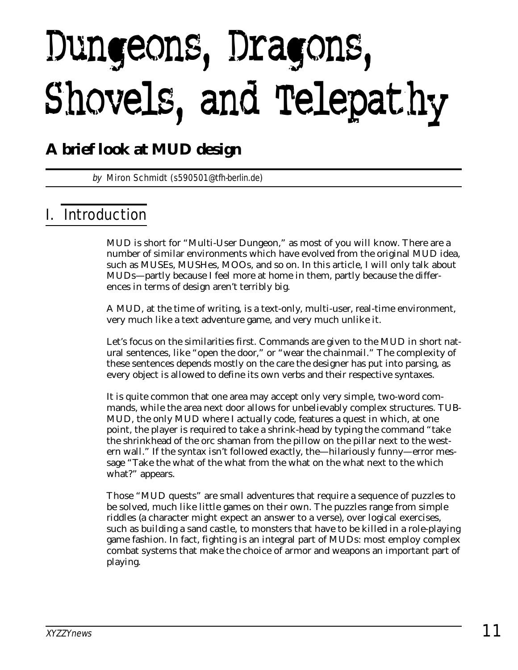# Dungeons, Dragons, Shovels, and Telepathy

## **A brief look at MUD design**

by Miron Schmidt (s590501@tfh-berlin.de)

## I. Introduction

MUD is short for "Multi-User Dungeon," as most of you will know. There are a number of similar environments which have evolved from the original MUD idea, such as MUSEs, MUSHes, MOOs, and so on. In this article, I will only talk about MUDs—partly because I feel more at home in them, partly because the differences in terms of design aren't terribly big.

A MUD, at the time of writing, is a text-only, multi-user, real-time environment, very much like a text adventure game, and very much unlike it.

Let's focus on the similarities first. Commands are given to the MUD in short natural sentences, like "open the door," or "wear the chainmail." The complexity of these sentences depends mostly on the care the designer has put into parsing, as every object is allowed to define its own verbs and their respective syntaxes.

It is quite common that one area may accept only very simple, two-word commands, while the area next door allows for unbelievably complex structures. TUB-MUD, the only MUD where I actually code, features a quest in which, at one point, the player is required to take a shrink-head by typing the command "take the shrinkhead of the orc shaman from the pillow on the pillar next to the western wall." If the syntax isn't followed exactly, the—hilariously funny—error message "Take the what of the what from the what on the what next to the which what?" appears.

Those "MUD quests" are small adventures that require a sequence of puzzles to be solved, much like little games on their own. The puzzles range from simple riddles (a character might expect an answer to a verse), over logical exercises, such as building a sand castle, to monsters that have to be killed in a role-playing game fashion. In fact, fighting is an integral part of MUDs: most employ complex combat systems that make the choice of armor and weapons an important part of playing.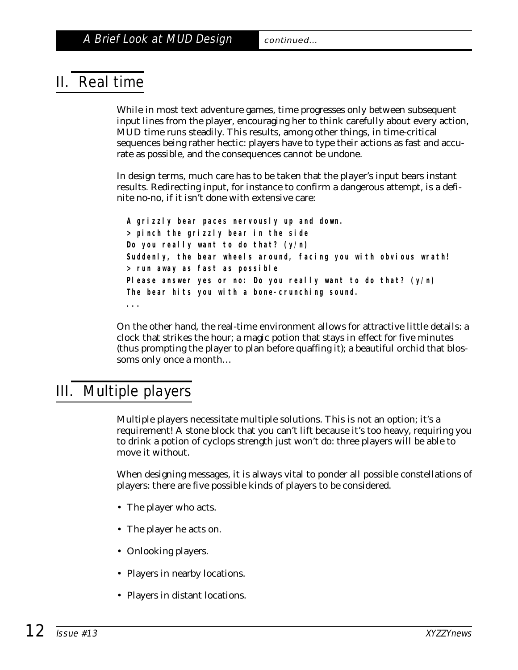## II. Real time

While in most text adventure games, time progresses only between subsequent input lines from the player, encouraging her to think carefully about every action, MUD time runs steadily. This results, among other things, in time-critical sequences being rather hectic: players have to type their actions as fast and accurate as possible, and the consequences cannot be undone.

In design terms, much care has to be taken that the player's input bears instant results. Redirecting input, for instance to confirm a dangerous attempt, is a definite no-no, if it isn't done with extensive care:

**A grizzly bear paces nervously up and down. > pinch the grizzly bear in the side Do you really want to do that? (y/n) Suddenly, the bear wheels around, facing you with obvious wrath! > run away as fast as possible Please answer yes or no: Do you really want to do that? (y/n) The bear hits you with a bone-crunching sound.**

On the other hand, the real-time environment allows for attractive little details: a clock that strikes the hour; a magic potion that stays in effect for five minutes (thus prompting the player to plan *before* quaffing it); a beautiful orchid that blossoms only once a month…

## III. Multiple players

**...**

Multiple players necessitate multiple solutions. This is not an option; it's a requirement! A stone block that you can't lift because it's too heavy, requiring you to drink a potion of cyclops strength just won't do: three players will be able to move it without.

When designing messages, it is always vital to ponder all possible constellations of players: there are five possible kinds of players to be considered.

- The player who acts.
- The player he acts on.
- Onlooking players.
- Players in nearby locations.
- Players in distant locations.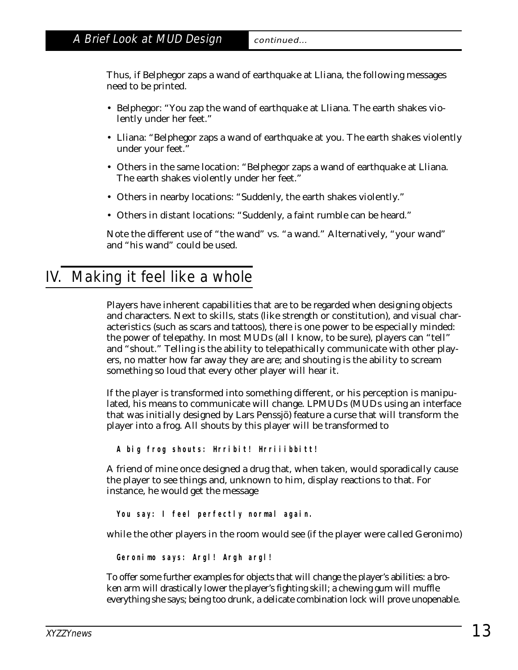Thus, if Belphegor zaps a wand of earthquake at Lliana, the following messages need to be printed.

- Belphegor: "You zap the wand of earthquake at Lliana. The earth shakes violently under her feet."
- Lliana: "Belphegor zaps a wand of earthquake at you. The earth shakes violently under your feet."
- Others in the same location: "Belphegor zaps a wand of earthquake at Lliana. The earth shakes violently under her feet."
- Others in nearby locations: "Suddenly, the earth shakes violently."
- Others in distant locations: "Suddenly, a faint rumble can be heard."

Note the different use of "the wand" vs. "a wand." Alternatively, "your wand" and "his wand" could be used.

## IV. Making it feel like a whole

Players have inherent capabilities that are to be regarded when designing objects and characters. Next to skills, stats (like strength or constitution), and visual characteristics (such as scars and tattoos), there is one power to be especially minded: the power of telepathy. In most MUDs (all I know, to be sure), players can "tell" and "shout." Telling is the ability to telepathically communicate with other players, no matter how far away they are are; and shouting is the ability to scream something so loud that every other player will hear it.

If the player is transformed into something different, or his perception is manipulated, his means to communicate will change. LPMUDs (MUDs using an interface that was initially designed by Lars Penssjö) feature a curse that will transform the player into a frog. All shouts by this player will be transformed to

**A big frog shouts: Hrribit! Hrriiibbitt!**

A friend of mine once designed a drug that, when taken, would sporadically cause the player to see things and, unknown to him, display reactions to that. For instance, he would get the message

**You say: I feel perfectly normal again.**

while the other players in the room would see (if the player were called Geronimo)

**Geronimo says: Argl! Argh argl!**

To offer some further examples for objects that will change the player's abilities: a broken arm will drastically lower the player's fighting skill; a chewing gum will muffle everything she says; being too drunk, a delicate combination lock will prove unopenable.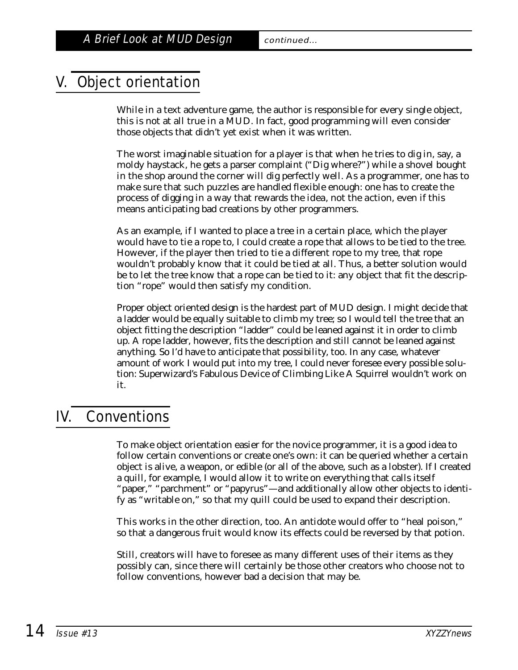## V. Object orientation

While in a text adventure game, the author is responsible for every single object, this is not at all true in a MUD. In fact, good programming will even consider those objects that didn't yet exist when it was written.

The worst imaginable situation for a player is that when he tries to dig in, say, a moldy haystack, he gets a parser complaint ("Dig where?") while a shovel bought in the shop around the corner will dig perfectly well. As a programmer, one has to make sure that such puzzles are handled flexible enough: one has to create the process of digging in a way that rewards the *idea,* not the *action,* even if this means anticipating bad creations by other programmers.

As an example, if I wanted to place a tree in a certain place, which the player would have to tie a rope to, I could create a rope that allows to be tied to the tree. However, if the player then tried to tie a *different* rope to my tree, that rope wouldn't probably know that it could be tied at all. Thus, a better solution would be to let the *tree* know that a rope can be tied to it: any object that fit the description "rope" would then satisfy my condition.

Proper object oriented design is the hardest part of MUD design. I might decide that a ladder would be equally suitable to climb my tree; so I would tell the tree that an object fitting the description "ladder" could be leaned against it in order to climb up. A rope ladder, however, fits the description and still cannot be leaned against anything. So I'd have to anticipate *that* possibility, too. In any case, whatever amount of work I would put into my tree, I could never foresee every possible solution: Superwizard's Fabulous Device of Climbing Like A Squirrel wouldn't work on it.

## IV. Conventions

To make object orientation easier for the novice programmer, it is a good idea to follow certain conventions or create one's own: it can be queried whether a certain object is alive, a weapon, or edible (or all of the above, such as a lobster). If I created a quill, for example, I would allow it to write on everything that calls itself "paper," "parchment" or "papyrus"—and additionally allow other objects to identify as "writable on," so that my quill could be used to expand their description.

This works in the other direction, too. An antidote would offer to "heal poison," so that a dangerous fruit would know its effects could be reversed by that potion.

Still, creators will have to foresee as many different uses of their items as they possibly can, since there will certainly be those other creators who choose not to follow conventions, however bad a decision that may be.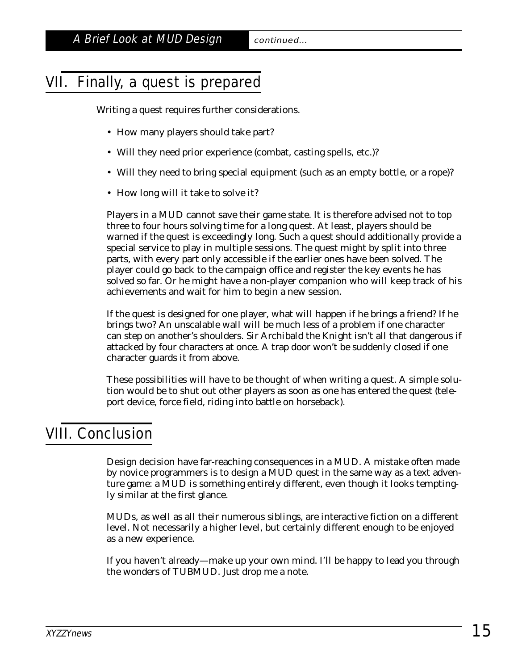## VII. Finally, a quest is prepared

Writing a quest requires further considerations.

- How many players should take part?
- Will they need prior experience (combat, casting spells, etc.)?
- Will they need to bring special equipment (such as an empty bottle, or a rope)?
- How long will it take to solve it?

Players in a MUD cannot save their game state. It is therefore advised not to top three to four hours solving time for a *long* quest. At least, players should be warned if the quest is exceedingly long. Such a quest should additionally provide a special service to play in multiple sessions. The quest might by split into three parts, with every part only accessible if the earlier ones have been solved. The player could go back to the campaign office and register the key events he has solved so far. Or he might have a non-player companion who will keep track of his achievements and wait for him to begin a new session.

If the quest is designed for one player, what will happen if he brings a friend? If he brings two? An unscalable wall will be much less of a problem if one character can step on another's shoulders. Sir Archibald the Knight isn't all that dangerous if attacked by four characters at once. A trap door won't be suddenly closed if one character guards it from above.

These possibilities will have to be thought of when writing a quest. A simple solution would be to shut out other players as soon as one has entered the quest (teleport device, force field, riding into battle on horseback).

## VIII. Conclusion

Design decision have far-reaching consequences in a MUD. A mistake often made by novice programmers is to design a MUD quest in the same way as a text adventure game: a MUD is something entirely different, even though it looks temptingly similar at the first glance.

MUDs, as well as all their numerous siblings, are interactive fiction on a different level. Not necessarily a higher level, but certainly different enough to be enjoyed as a new experience.

If you haven't already—make up your own mind. I'll be happy to lead you through the wonders of TUBMUD. Just drop me a note.